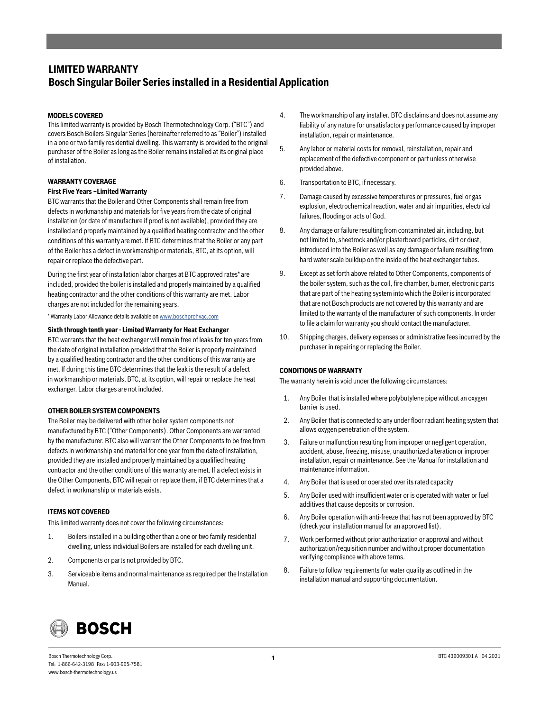## **LIMITED WARRANTY Bosch Singular Boiler Series installed in a Residential Application**

### **MODELS COVERED**

This limited warranty is provided by Bosch Thermotechnology Corp. ("BTC") and covers Bosch Boilers Singular Series (hereinafter referred to as "Boiler") installed in a one or two family residential dwelling. This warranty is provided to the original purchaser of the Boiler as long as the Boiler remains installed at its original place of installation.

### **WARRANTY COVERAGE**

### **First Five Years –Limited Warranty**

BTC warrants that the Boiler and Other Components shall remain free from defects in workmanship and materials for five years from the date of original installation (or date of manufacture if proof is not available), provided they are installed and properly maintained by a qualified heating contractor and the other conditions of this warranty are met. If BTC determines that the Boiler or any part of the Boiler has a defect in workmanship or materials, BTC, at its option, will repair or replace the defective part.

During the first year of installation labor charges at BTC approved rates\* are included, provided the boiler is installed and properly maintained by a qualified heating contractor and the other conditions of this warranty are met. Labor charges are not included for the remaining years.

\* Warranty Labor Allowance details available on www.boschprohvac.com

### **Sixth through tenth year - Limited Warranty for Heat Exchanger**

BTC warrants that the heat exchanger will remain free of leaks for ten years from the date of original installation provided that the Boiler is properly maintained by a qualified heating contractor and the other conditions of this warranty are met. If during this time BTC determines that the leak is the result of a defect in workmanship or materials, BTC, at its option, will repair or replace the heat exchanger. Labor charges are not included.

### **OTHER BOILER SYSTEM COMPONENTS**

The Boiler may be delivered with other boiler system components not manufactured by BTC ("Other Components). Other Components are warranted by the manufacturer. BTC also will warrant the Other Components to be free from defects in workmanship and material for one year from the date of installation, provided they are installed and properly maintained by a qualified heating contractor and the other conditions of this warranty are met. If a defect exists in the Other Components, BTC will repair or replace them, if BTC determines that a defect in workmanship or materials exists.

### **ITEMS NOT COVERED**

This limited warranty does not cover the following circumstances:

- 1. Boilers installed in a building other than a one or two family residential dwelling, unless individual Boilers are installed for each dwelling unit.
- 2. Components or parts not provided by BTC.
- 3. Serviceable items and normal maintenance as required per the Installation Manual.
- 4. The workmanship of any installer. BTC disclaims and does not assume any liability of any nature for unsatisfactory performance caused by improper installation, repair or maintenance.
- 5. Any labor or material costs for removal, reinstallation, repair and replacement of the defective component or part unless otherwise provided above.
- 6. Transportation to BTC, if necessary.
- 7. Damage caused by excessive temperatures or pressures, fuel or gas explosion, electrochemical reaction, water and air impurities, electrical failures, flooding or acts of God.
- 8. Any damage or failure resulting from contaminated air, including, but not limited to, sheetrock and/or plasterboard particles, dirt or dust, introduced into the Boiler as well as any damage or failure resulting from hard water scale buildup on the inside of the heat exchanger tubes.
- 9. Except as set forth above related to Other Components, components of the boiler system, such as the coil, fire chamber, burner, electronic parts that are part of the heating system into which the Boiler is incorporated that are not Bosch products are not covered by this warranty and are limited to the warranty of the manufacturer of such components. In order to file a claim for warranty you should contact the manufacturer.
- 10. Shipping charges, delivery expenses or administrative fees incurred by the purchaser in repairing or replacing the Boiler.

### **CONDITIONS OF WARRANTY**

The warranty herein is void under the following circumstances:

- 1. Any Boiler that is installed where polybutylene pipe without an oxygen barrier is used.
- 2. Any Boiler that is connected to any under floor radiant heating system that allows oxygen penetration of the system.
- 3. Failure or malfunction resulting from improper or negligent operation, accident, abuse, freezing, misuse, unauthorized alteration or improper installation, repair or maintenance. See the Manual for installation and maintenance information.
- 4. Any Boiler that is used or operated over its rated capacity
- 5. Any Boiler used with insufficient water or is operated with water or fuel additives that cause deposits or corrosion.
- 6. Any Boiler operation with anti-freeze that has not been approved by BTC (check your installation manual for an approved list).
- 7. Work performed without prior authorization or approval and without authorization/requisition number and without proper documentation verifying compliance with above terms.
- 8. Failure to follow requirements for water quality as outlined in the installation manual and supporting documentation.



Bosch Thermotechnology Corp. BTC 439009301 A | 04.2021 Tel: 1-866-642-3198 Fax: 1-603-965-7581 www.bosch-thermotechnology.us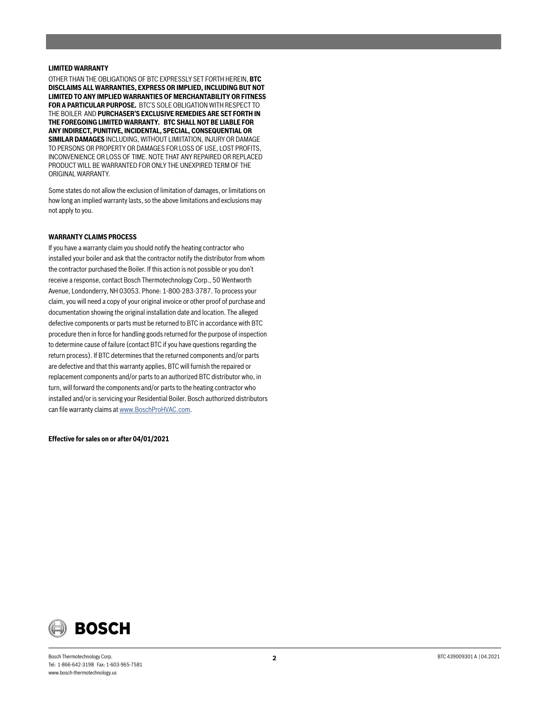### **LIMITED WARRANTY**

OTHER THAN THE OBLIGATIONS OF BTC EXPRESSLY SET FORTH HEREIN, **BTC DISCLAIMS ALL WARRANTIES, EXPRESS OR IMPLIED, INCLUDING BUT NOT LIMITED TO ANY IMPLIED WARRANTIES OF MERCHANTABILITY OR FITNESS FOR A PARTICULAR PURPOSE.** BTC'S SOLE OBLIGATION WITH RESPECT TO THE BOILER AND **PURCHASER'S EXCLUSIVE REMEDIES ARE SET FORTH IN THE FOREGOING LIMITED WARRANTY. BTC SHALL NOT BE LIABLE FOR ANY INDIRECT, PUNITIVE, INCIDENTAL, SPECIAL, CONSEQUENTIAL OR SIMILAR DAMAGES** INCLUDING, WITHOUT LIMIITATION, INJURY OR DAMAGE TO PERSONS OR PROPERTY OR DAMAGES FOR LOSS OF USE, LOST PROFITS, INCONVENIENCE OR LOSS OF TIME. NOTE THAT ANY REPAIRED OR REPLACED PRODUCT WILL BE WARRANTED FOR ONLY THE UNEXPIRED TERM OF THE ORIGINAL WARRANTY.

Some states do not allow the exclusion of limitation of damages, or limitations on how long an implied warranty lasts, so the above limitations and exclusions may not apply to you.

### **WARRANTY CLAIMS PROCESS**

If you have a warranty claim you should notify the heating contractor who installed your boiler and ask that the contractor notify the distributor from whom the contractor purchased the Boiler. If this action is not possible or you don't receive a response, contact Bosch Thermotechnology Corp., 50 Wentworth Avenue, Londonderry, NH 03053. Phone: 1-800-283-3787. To process your claim, you will need a copy of your original invoice or other proof of purchase and documentation showing the original installation date and location. The alleged defective components or parts must be returned to BTC in accordance with BTC procedure then in force for handling goods returned for the purpose of inspection to determine cause of failure (contact BTC if you have questions regarding the return process). If BTC determines that the returned components and/or parts are defective and that this warranty applies, BTC will furnish the repaired or replacement components and/or parts to an authorized BTC distributor who, in turn, will forward the components and/or parts to the heating contractor who installed and/or is servicing your Residential Boiler. Bosch authorized distributors can file warranty claims at www.BoschProHVAC.com.

**Effective for sales on or after 04/01/2021**

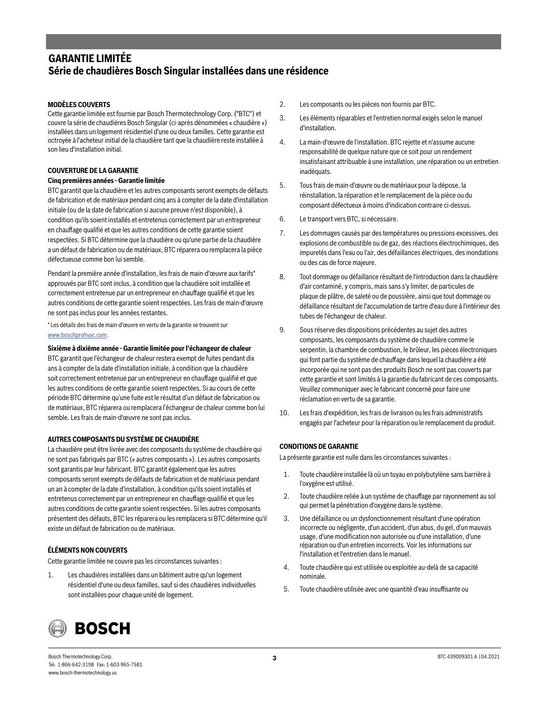# **GARANTIE LIMITÉE Série de chaudières Bosch Singular installées dans une résidence**

### **MODÈLES COUVERTS**

Cette garantie limitée est fournie par Bosch Thermotechnology Corp. ("BTC") et couvre la série de chaudières Bosch Singular (ci-après dénommées « chaudière ») installées dans un logement résidentiel d'une ou deux familles. Cette garantie est octroyée à l'acheteur initial de la chaudière tant que la chaudière reste installée à son lieu d'installation initial.

### **COUVERTURE DE LA GARANTIE**

### **Cinq premières années - Garantie limitée**

BTC garantit que la chaudière et les autres composants seront exempts de défauts de fabrication et de matériaux pendant cinq ans à compter de la date d'installation initiale (ou de la date de fabrication si aucune preuve n'est disponible), à condition qu'ils soient installés et entretenus correctement par un entrepreneur en chauffage qualifié et que les autres conditions de cette garantie soient respectées. Si BTC détermine que la chaudière ou qu'une partie de la chaudière a un défaut de fabrication ou de matériaux, BTC réparera ou remplacera la pièce défectueuse comme bon lui semble.

Pendant la première année d'installation, les frais de main-d'œuvre aux tarifs\* approuvés par BTC sont inclus, à condition que la chaudière soit installée et correctement entretenue par un entrepreneur en chauffage qualifié et que les autres conditions de cette garantie soient respectées. Les frais de main-d'œuvre ne sont pas inclus pour les années restantes.

\* Les détails des frais de main-d'œuvre en vertu de la garantie se trouvent sur www.boschprohvac.com.

### **Sixième à dixième année - Garantie limitée pour l'échangeur de chaleur**

BTC garantit que l'échangeur de chaleur restera exempt de fuites pendant dix ans à compter de la date d'installation initiale, à condition que la chaudière soit correctement entretenue par un entrepreneur en chauffage qualifié et que les autres conditions de cette garantie soient respectées. Si au cours de cette période BTC détermine qu'une fuite est le résultat d'un défaut de fabrication ou de matériaux, BTC réparera ou remplacera l'échangeur de chaleur comme bon lui semble. Les frais de main-d'œuvre ne sont pas inclus.

### **AUTRES COMPOSANTS DU SYSTÈME DE CHAUDIÈRE**

La chaudière peut être livrée avec des composants du système de chaudière qui ne sont pas fabriqués par BTC (« autres composants »). Les autres composants sont garantis par leur fabricant. BTC garantit également que les autres composants seront exempts de défauts de fabrication et de matériaux pendant un an à compter de la date d'installation, à condition qu'ils soient installés et entretenus correctement par un entrepreneur en chauffage qualifié et que les autres conditions de cette garantie soient respectées. Si les autres composants présentent des défauts, BTC les réparera ou les remplacera si BTC détermine qu'il existe un défaut de fabrication ou de matériaux.

### **ÉLÉMENTS NON COUVERTS**

Cette garantie limitée ne couvre pas les circonstances suivantes :

1. Les chaudières installées dans un bâtiment autre qu'un logement résidentiel d'une ou deux familles, sauf si des chaudières individuelles sont installées pour chaque unité de logement.

- 2. Les composants ou les pièces non fournis par BTC.
- 3. Les éléments réparables et l'entretien normal exigés selon le manuel d'installation.
- 4. La main-d'œuvre de l'installation. BTC rejette et n'assume aucune responsabilité de quelque nature que ce soit pour un rendement insatisfaisant attribuable à une installation, une réparation ou un entretien inadéquats.
- 5. Tous frais de main-d'œuvre ou de matériaux pour la dépose, la réinstallation, la réparation et le remplacement de la pièce ou du composant défectueux à moins d'indication contraire ci-dessus.
- 6. Le transport vers BTC, si nécessaire.
- 7. Les dommages causés par des températures ou pressions excessives, des explosions de combustible ou de gaz, des réactions électrochimiques, des impuretés dans l'eau ou l'air, des défaillances électriques, des inondations ou des cas de force majeure.
- 8. Tout dommage ou défaillance résultant de l'introduction dans la chaudière d'air contaminé, y compris, mais sans s'y limiter, de particules de plaque de plâtre, de saleté ou de poussière, ainsi que tout dommage ou défaillance résultant de l'accumulation de tartre d'eau dure à l'intérieur des tubes de l'échangeur de chaleur.
- 9. Sous réserve des dispositions précédentes au sujet des autres composants, les composants du système de chaudière comme le serpentin, la chambre de combustion, le brûleur, les pièces électroniques qui font partie du système de chauffage dans lequel la chaudière a été incorporée qui ne sont pas des produits Bosch ne sont pas couverts par cette garantie et sont limités à la garantie du fabricant de ces composants. Veuillez communiquer avec le fabricant concerné pour faire une réclamation en vertu de sa garantie.
- 10. Les frais d'expédition, les frais de livraison ou les frais administratifs engagés par l'acheteur pour la réparation ou le remplacement du produit.

### **CONDITIONS DE GARANTIE**

La présente garantie est nulle dans les circonstances suivantes :

- 1. Toute chaudière installée là où un tuyau en polybutylène sans barrière à l'oxygène est utilisé.
- 2. Toute chaudière reliée à un système de chauffage par rayonnement au sol qui permet la pénétration d'oxygène dans le système.
- 3. Une défaillance ou un dysfonctionnement résultant d'une opération incorrecte ou négligente, d'un accident, d'un abus, du gel, d'un mauvais usage, d'une modification non autorisée ou d'une installation, d'une réparation ou d'un entretien incorrects. Voir les informations sur l'installation et l'entretien dans le manuel.
- 4. Toute chaudière qui est utilisée ou exploitée au-delà de sa capacité nominale.
- 5. Toute chaudière utilisée avec une quantité d'eau insuffisante ou



**3** Bosch Thermotechnology Corp. **EXEL** 2021 A | 04.2021 **3** BTC 439009301 A | 04.2021 Tel: 1-866-642-3198 Fax: 1-603-965-7581 www.bosch-thermotechnology.us